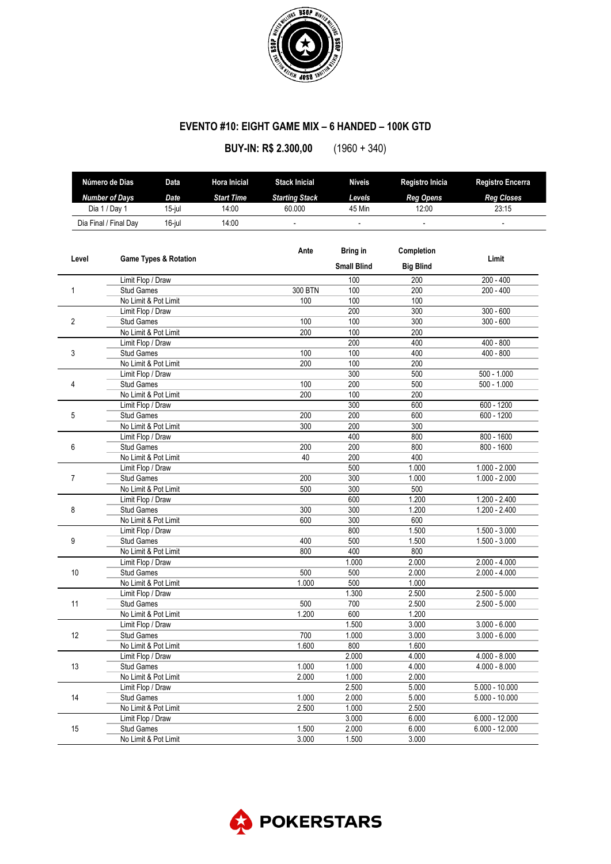

## **EVENTO #10: EIGHT GAME MIX – 6 HANDED – 100K GTD**

**BUY-IN: R\$ 2.300,00** (1960 + 340)

| Número de Dias<br><b>Number of Days</b><br>Dia 1 / Day 1<br>Dia Final / Final Day |                                  | Data<br>Date | <b>Hora Inicial</b><br><b>Start Time</b><br>14:00 | <b>Stack Inicial</b><br><b>Starting Stack</b><br>60.000<br>$\frac{1}{2}$ | <b>Níveis</b><br>Levels<br>45 Min<br>$\overline{\phantom{a}}$ | Registro Inicia<br><b>Reg Opens</b><br>12:00<br>÷, | Registro Encerra<br><b>Reg Closes</b><br>23:15 |
|-----------------------------------------------------------------------------------|----------------------------------|--------------|---------------------------------------------------|--------------------------------------------------------------------------|---------------------------------------------------------------|----------------------------------------------------|------------------------------------------------|
|                                                                                   |                                  |              |                                                   |                                                                          |                                                               |                                                    |                                                |
|                                                                                   |                                  | $16$ -jul    |                                                   |                                                                          |                                                               |                                                    |                                                |
|                                                                                   |                                  |              |                                                   |                                                                          |                                                               |                                                    |                                                |
|                                                                                   |                                  |              |                                                   | Ante                                                                     | <b>Bring in</b>                                               | Completion                                         |                                                |
| Level                                                                             | <b>Game Types &amp; Rotation</b> |              |                                                   |                                                                          | <b>Small Blind</b>                                            | <b>Big Blind</b>                                   | Limit                                          |
|                                                                                   | Limit Flop / Draw                |              |                                                   |                                                                          | 100                                                           | 200                                                | $200 - 400$                                    |
| 1                                                                                 | <b>Stud Games</b>                |              |                                                   | 300 BTN                                                                  | 100                                                           | 200                                                | $200 - 400$                                    |
|                                                                                   | No Limit & Pot Limit             |              |                                                   | 100                                                                      | 100                                                           | 100                                                |                                                |
|                                                                                   | Limit Flop / Draw                |              |                                                   |                                                                          | 200                                                           | 300                                                | $300 - 600$                                    |
| $\overline{2}$                                                                    | <b>Stud Games</b>                |              |                                                   | 100                                                                      | 100                                                           | 300                                                | $300 - 600$                                    |
|                                                                                   | No Limit & Pot Limit             |              |                                                   | 200                                                                      | 100                                                           | 200                                                |                                                |
|                                                                                   | Limit Flop / Draw                |              |                                                   |                                                                          | 200                                                           | 400                                                | $400 - 800$                                    |
| 3                                                                                 | <b>Stud Games</b>                |              |                                                   | 100                                                                      | 100                                                           | 400                                                | $400 - 800$                                    |
|                                                                                   | No Limit & Pot Limit             |              |                                                   | 200                                                                      | 100                                                           | 200                                                |                                                |
|                                                                                   | Limit Flop / Draw                |              |                                                   |                                                                          | 300                                                           | 500                                                | $500 - 1.000$                                  |
| 4                                                                                 | <b>Stud Games</b>                |              |                                                   | 100                                                                      | 200                                                           | 500                                                | $500 - 1.000$                                  |
|                                                                                   | No Limit & Pot Limit             |              |                                                   | 200                                                                      | 100                                                           | 200                                                |                                                |
|                                                                                   | Limit Flop / Draw                |              |                                                   |                                                                          | 300                                                           | 600                                                | $600 - 1200$                                   |
| 5                                                                                 | Stud Games                       |              |                                                   | 200                                                                      | 200                                                           | 600                                                | 600 - 1200                                     |
|                                                                                   | No Limit & Pot Limit             |              |                                                   | 300                                                                      | 200                                                           | 300                                                |                                                |
|                                                                                   | Limit Flop / Draw                |              |                                                   |                                                                          | 400                                                           | 800                                                | $800 - 1600$                                   |
| 6                                                                                 | <b>Stud Games</b>                |              |                                                   | 200                                                                      | 200                                                           | 800                                                | 800 - 1600                                     |
|                                                                                   | No Limit & Pot Limit             |              |                                                   | 40                                                                       | 200                                                           | 400                                                |                                                |
|                                                                                   | Limit Flop / Draw                |              |                                                   |                                                                          | 500                                                           | 1.000                                              | $1.000 - 2.000$                                |
| $\overline{7}$                                                                    | <b>Stud Games</b>                |              |                                                   | 200                                                                      | 300                                                           | 1.000                                              |                                                |
|                                                                                   |                                  |              |                                                   |                                                                          |                                                               |                                                    | $1.000 - 2.000$                                |
|                                                                                   | No Limit & Pot Limit             |              |                                                   | 500                                                                      | 300                                                           | 500                                                |                                                |
|                                                                                   | Limit Flop / Draw                |              |                                                   |                                                                          | 600                                                           | 1.200                                              | $1.200 - 2.400$                                |
| 8                                                                                 | <b>Stud Games</b>                |              |                                                   | 300                                                                      | 300                                                           | 1.200                                              | $1.200 - 2.400$                                |
|                                                                                   | No Limit & Pot Limit             |              |                                                   | 600                                                                      | 300                                                           | 600                                                |                                                |
|                                                                                   | Limit Flop / Draw                |              |                                                   |                                                                          | 800                                                           | 1.500                                              | $1.500 - 3.000$                                |
| 9                                                                                 | <b>Stud Games</b>                |              |                                                   | 400                                                                      | 500                                                           | 1.500                                              | $1.500 - 3.000$                                |
|                                                                                   | No Limit & Pot Limit             |              |                                                   | 800                                                                      | 400                                                           | 800                                                |                                                |
|                                                                                   | Limit Flop / Draw                |              |                                                   |                                                                          | 1.000                                                         | 2.000                                              | $2.000 - 4.000$                                |
| 10                                                                                | <b>Stud Games</b>                |              |                                                   | 500                                                                      | 500                                                           | 2.000                                              | $2.000 - 4.000$                                |
|                                                                                   | No Limit & Pot Limit             |              |                                                   | 1.000                                                                    | 500                                                           | 1.000                                              |                                                |
|                                                                                   | Limit Flop / Draw                |              |                                                   |                                                                          | 1.300                                                         | 2.500                                              | $2.500 - 5.000$                                |
| 11                                                                                | <b>Stud Games</b>                |              |                                                   | 500                                                                      | 700                                                           | 2.500                                              | $2.500 - 5.000$                                |
|                                                                                   | No Limit & Pot Limit             |              |                                                   | 1.200                                                                    | 600                                                           | 1.200                                              |                                                |
|                                                                                   | Limit Flop / Draw                |              |                                                   |                                                                          | 1.500                                                         | 3.000                                              | 3.000 - 6.000                                  |
| 12                                                                                | Stud Games                       |              |                                                   | 700                                                                      | 1.000                                                         | 3.000                                              | $3.000 - 6.000$                                |
|                                                                                   | No Limit & Pot Limit             |              |                                                   | 1.600                                                                    | 800                                                           | 1.600                                              |                                                |
|                                                                                   | Limit Flop / Draw                |              |                                                   |                                                                          | 2.000                                                         | 4.000                                              | $4.000 - 8.000$                                |
| 13                                                                                | <b>Stud Games</b>                |              |                                                   | 1.000                                                                    | 1.000                                                         | 4.000                                              | $4.000 - 8.000$                                |
|                                                                                   | No Limit & Pot Limit             |              |                                                   | 2.000                                                                    | 1.000                                                         | 2.000                                              |                                                |
|                                                                                   | Limit Flop / Draw                |              |                                                   |                                                                          | 2.500                                                         | 5.000                                              | $5.000 - 10.000$                               |
| 14                                                                                | <b>Stud Games</b>                |              |                                                   | 1.000                                                                    | 2.000                                                         | 5.000                                              | $5.000 - 10.000$                               |
|                                                                                   | No Limit & Pot Limit             |              |                                                   | 2.500                                                                    | 1.000                                                         | 2.500                                              |                                                |
|                                                                                   | Limit Flop / Draw                |              |                                                   |                                                                          | 3.000                                                         | 6.000                                              | $6.000 - 12.000$                               |
| 15                                                                                | Stud Games                       |              |                                                   | 1.500                                                                    | 2.000                                                         | 6.000                                              | $6.000 - 12.000$                               |
|                                                                                   | No Limit & Pot Limit             |              |                                                   | 3.000                                                                    | 1.500                                                         | 3.000                                              |                                                |

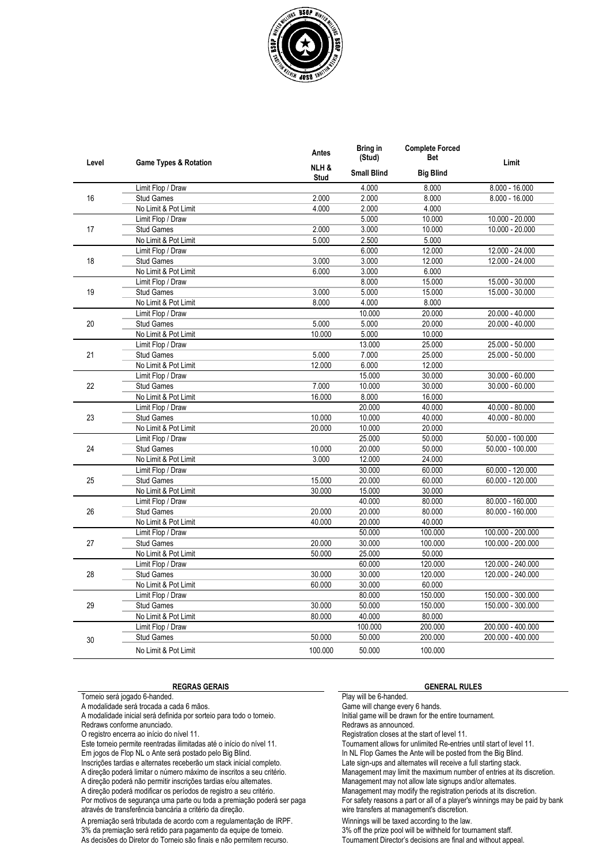

| Level    | <b>Game Types &amp; Rotation</b> | Antes               | Bring in<br>(Stud) | <b>Complete Forced</b><br><b>Bet</b> | Limit              |
|----------|----------------------------------|---------------------|--------------------|--------------------------------------|--------------------|
|          |                                  | NLH&<br><b>Stud</b> | <b>Small Blind</b> | <b>Big Blind</b>                     |                    |
| 16       | Limit Flop / Draw                |                     | 4.000              | 8.000                                | $8.000 - 16.000$   |
|          | <b>Stud Games</b>                | 2.000               | 2.000              | 8.000                                | $8.000 - 16.000$   |
|          | No Limit & Pot Limit             | 4.000               | 2.000              | 4.000                                |                    |
| 17       | Limit Flop / Draw                |                     | 5.000              | 10.000                               | $10.000 - 20.000$  |
|          | <b>Stud Games</b>                | 2.000               | 3.000              | 10.000                               | $10.000 - 20.000$  |
|          | No Limit & Pot Limit             | 5.000               | 2.500              | 5.000                                |                    |
| 18       | Limit Flop / Draw                |                     | 6.000              | 12.000                               | 12.000 - 24.000    |
|          | <b>Stud Games</b>                | 3.000               | 3.000              | 12.000                               | 12.000 - 24.000    |
|          | No Limit & Pot Limit             | 6.000               | 3.000              | 6.000                                |                    |
| 19       | Limit Flop / Draw                |                     | 8.000              | 15.000                               | 15.000 - 30.000    |
|          | <b>Stud Games</b>                | 3.000               | 5.000              | 15.000                               | 15.000 - 30.000    |
|          | No Limit & Pot Limit             | 8.000               | 4.000              | 8.000                                |                    |
| 20       | Limit Flop / Draw                |                     | 10.000             | 20.000                               | 20.000 - 40.000    |
|          | <b>Stud Games</b>                | 5.000               | 5.000              | 20.000                               | 20.000 - 40.000    |
|          | No Limit & Pot Limit             | 10.000              | 5.000              | 10.000                               |                    |
| 21       | Limit Flop / Draw                |                     | 13.000             | 25.000                               | 25.000 - 50.000    |
|          | <b>Stud Games</b>                | 5.000               | 7.000              | 25.000                               | 25.000 - 50.000    |
|          | No Limit & Pot Limit             | 12.000              | 6.000              | 12.000                               |                    |
| 22       | Limit Flop / Draw                |                     | 15.000             | 30.000                               | $30.000 - 60.000$  |
|          | <b>Stud Games</b>                | 7.000               | 10.000             | 30.000                               | 30.000 - 60.000    |
|          | No Limit & Pot Limit             | 16.000              | 8.000              | 16.000                               |                    |
| 23       | Limit Flop / Draw                |                     | 20.000             | 40.000                               | 40.000 - 80.000    |
|          | <b>Stud Games</b>                | 10.000              | 10.000             | 40.000                               | 40.000 - 80.000    |
|          | No Limit & Pot Limit             | 20.000              | 10.000             | 20.000                               |                    |
| 24       | Limit Flop / Draw                |                     | 25.000             | 50.000                               | 50.000 - 100.000   |
|          | <b>Stud Games</b>                | 10.000              | 20.000             | 50.000                               | 50.000 - 100.000   |
|          | No Limit & Pot Limit             | 3.000               | 12.000             | 24.000                               |                    |
| 25       | Limit Flop / Draw                |                     | 30.000             | 60.000                               | 60.000 - 120.000   |
|          | <b>Stud Games</b>                | 15.000              | 20.000             | 60.000                               | 60.000 - 120.000   |
|          | No Limit & Pot Limit             | 30.000              | 15.000             | 30.000                               |                    |
| 26       | Limit Flop / Draw                |                     | 40.000             | 80.000                               | 80.000 - 160.000   |
|          | <b>Stud Games</b>                | 20.000              | 20.000             | 80.000                               | $80.000 - 160.000$ |
|          | No Limit & Pot Limit             | 40.000              | 20.000             | 40.000                               |                    |
| 27       | Limit Flop / Draw                |                     | 50.000             | 100.000                              | 100.000 - 200.000  |
|          | <b>Stud Games</b>                | 20.000              | 30.000             | 100.000                              | 100.000 - 200.000  |
|          | No Limit & Pot Limit             | 50.000              | 25.000             | 50.000                               |                    |
| 28<br>29 | Limit Flop / Draw                |                     | 60.000             | 120.000                              | 120.000 - 240.000  |
|          | <b>Stud Games</b>                | 30.000              | 30.000             | 120.000                              | 120.000 - 240.000  |
|          | No Limit & Pot Limit             | 60.000              | 30.000             | 60.000                               |                    |
|          | Limit Flop / Draw                |                     | 80.000             | 150.000                              | 150.000 - 300.000  |
|          | <b>Stud Games</b>                | 30.000              | 50.000             | 150.000                              | 150.000 - 300.000  |
|          | No Limit & Pot Limit             | 80.000              | 40.000             | 80.000                               |                    |
| 30       | Limit Flop / Draw                |                     | 100.000            | 200.000                              | 200.000 - 400.000  |
|          | <b>Stud Games</b>                | 50.000              | 50.000             | 200.000                              | 200.000 - 400.000  |
|          | No Limit & Pot Limit             | 100.000             | 50.000             | 100.000                              |                    |

## **REGRAS GERAIS GENERAL RULES**

Torneio será jogado 6-handed.<br>
A modalidade será trocada a cada 6 mãos.<br>
Play will be 6-handed.<br>
Game will change every 6 hands. A modalidade será trocada a cada 6 mãos.

A modalidade inicial será definida por sorteio para todo o torneio. Initial game will be drawn for the entire tournament.

Redraws conforme anunciado.<br>
O registro encerra ao início do nível 11.

Este torneio permite reentradas ilimitadas até o início do nível 11. Em jogos de Flop NL o Ante será postado pelo Big Blind. In NL Flop Games the Ante will be posted from the Big Blind.

Inscrições tardias e alternates receberão um stack inicial completo.<br>A direcão poderá limitar o número máximo de inscritos a seu critério. Management may limit the maximum number of entries at its

A direção poderá não permitir inscrições tardias e/ou alternates.

A direção poderá modificar os períodos de registro a seu critério. Management may modify the registration periods at its discretion.

Por motivos de segurança uma parte ou toda a premiação poderá ser paga através de transferência bancária a critério da direção.

A premiação será tributada de acordo com a regulamentação de IRPF.<br>3% da premiação será retido para pagamento da equipe de tomeio. <br>3% off the prize pool will be withheld for tournament staff. 3% da premiação será retido para pagamento da equipe de torneio. As decisões do Diretor do Torneio são finais e não permitem recurso. Tournament Director's decisions are final and without appeal.

Registration closes at the start of level 11.<br>Tournament allows for unlimited Re-entries until start of level 11.

Management may limit the maximum number of entries at its discretion.<br>Management may not allow late signups and/or alternates.

For safety reasons a part or all of a player's winnings may be paid by bank wire transfers at management's discretion.